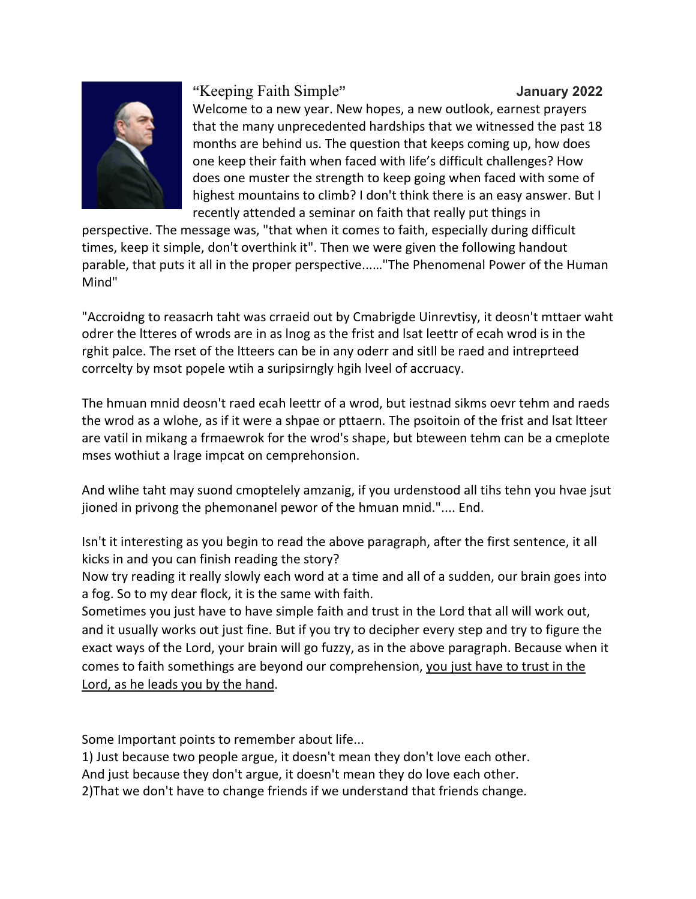

## "Keeping Faith Simple"

Welcome to a new year. New hopes, a new outlook, earnest prayers that the many unprecedented hardships that we witnessed the past 18 months are behind us. The question that keeps coming up, how does one keep their faith when faced with life's difficult challenges? How does one muster the strength to keep going when faced with some of highest mountains to climb? I don't think there is an easy answer. But I recently attended a seminar on faith that really put things in

perspective. The message was, "that when it comes to faith, especially during difficult times, keep it simple, don't overthink it". Then we were given the following handout parable, that puts it all in the proper perspective......"The Phenomenal Power of the Human Mind"

"Accroidng to reasacrh taht was crraeid out by Cmabrigde Uinrevtisy, it deosn't mttaer waht odrer the Itteres of wrods are in as lnog as the frist and Isat leettr of ecah wrod is in the rghit palce. The rset of the Itteers can be in any oderr and sitll be raed and intreprteed corrcelty by msot popele wtih a suripsirngly hgih Iveel of accruacy.

The hmuan mnid deosn't raed ecah leettr of a wrod, but iestnad sikms oevr tehm and raeds the wrod as a wlohe, as if it were a shpae or pttaern. The psoitoin of the frist and lsat ltteer are vatil in mikang a frmaewrok for the wrod's shape, but bteween tehm can be a cmeplote mses wothiut a Irage impcat on cemprehonsion.

And wlihe taht may suond cmoptelely amzanig, if you urdenstood all tihs tehn you hvae jsut jioned in privong the phemonanel pewor of the hmuan mnid.".... End.

Isn't it interesting as you begin to read the above paragraph, after the first sentence, it all kicks in and you can finish reading the story?

Now try reading it really slowly each word at a time and all of a sudden, our brain goes into a fog. So to my dear flock, it is the same with faith.

Sometimes you just have to have simple faith and trust in the Lord that all will work out, and it usually works out just fine. But if you try to decipher every step and try to figure the exact ways of the Lord, your brain will go fuzzy, as in the above paragraph. Because when it comes to faith somethings are beyond our comprehension, you just have to trust in the Lord, as he leads you by the hand.

Some Important points to remember about life...

1) Just because two people argue, it doesn't mean they don't love each other.

And just because they don't argue, it doesn't mean they do love each other.

2) That we don't have to change friends if we understand that friends change.